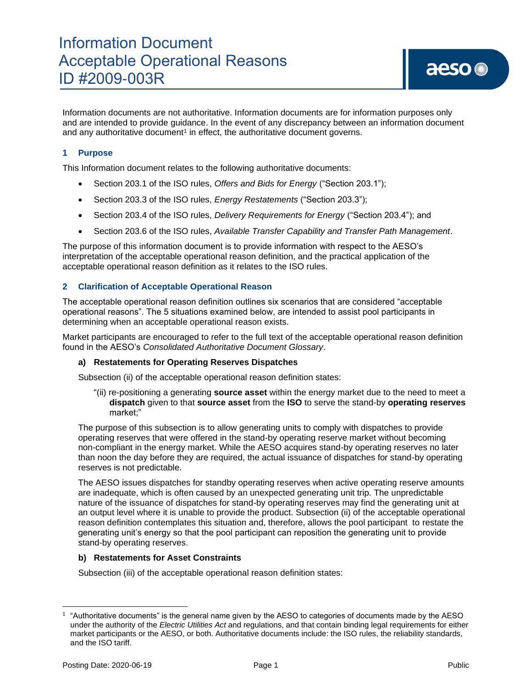Information documents are not authoritative. Information documents are for information purposes only and are intended to provide guidance. In the event of any discrepancy between an information document and any authoritative document<sup>1</sup> in effect, the authoritative document governs.

## **1 Purpose**

This Information document relates to the following authoritative documents:

- Section 203.1 of the ISO rules, *Offers and Bids for Energy* ("Section 203.1");
- Section 203.3 of the ISO rules, *Energy Restatements* ("Section 203.3");
- Section 203.4 of the ISO rules, *Delivery Requirements for Energy* ("Section 203.4"); and
- Section 203.6 of the ISO rules, *Available Transfer Capability and Transfer Path Management*.

The purpose of this information document is to provide information with respect to the AESO's interpretation of the acceptable operational reason definition, and the practical application of the acceptable operational reason definition as it relates to the ISO rules.

### **2 Clarification of Acceptable Operational Reason**

The acceptable operational reason definition outlines six scenarios that are considered "acceptable operational reasons". The 5 situations examined below, are intended to assist pool participants in determining when an acceptable operational reason exists.

Market participants are encouraged to refer to the full text of the acceptable operational reason definition found in the AESO's *Consolidated Authoritative Document Glossary*.

#### **a) Restatements for Operating Reserves Dispatches**

Subsection (ii) of the acceptable operational reason definition states:

"(ii) re-positioning a generating **source asset** within the energy market due to the need to meet a **dispatch** given to that **source asset** from the **ISO** to serve the stand-by **operating reserves**  market;"

The purpose of this subsection is to allow generating units to comply with dispatches to provide operating reserves that were offered in the stand-by operating reserve market without becoming non-compliant in the energy market. While the AESO acquires stand-by operating reserves no later than noon the day before they are required, the actual issuance of dispatches for stand-by operating reserves is not predictable.

The AESO issues dispatches for standby operating reserves when active operating reserve amounts are inadequate, which is often caused by an unexpected generating unit trip. The unpredictable nature of the issuance of dispatches for stand-by operating reserves may find the generating unit at an output level where it is unable to provide the product. Subsection (ii) of the acceptable operational reason definition contemplates this situation and, therefore, allows the pool participant to restate the generating unit's energy so that the pool participant can reposition the generating unit to provide stand-by operating reserves.

#### **b) Restatements for Asset Constraints**

Subsection (iii) of the acceptable operational reason definition states:

<sup>1</sup> "Authoritative documents" is the general name given by the AESO to categories of documents made by the AESO under the authority of the *Electric Utilities Act* and regulations, and that contain binding legal requirements for either market participants or the AESO, or both. Authoritative documents include: the ISO rules, the reliability standards, and the ISO tariff.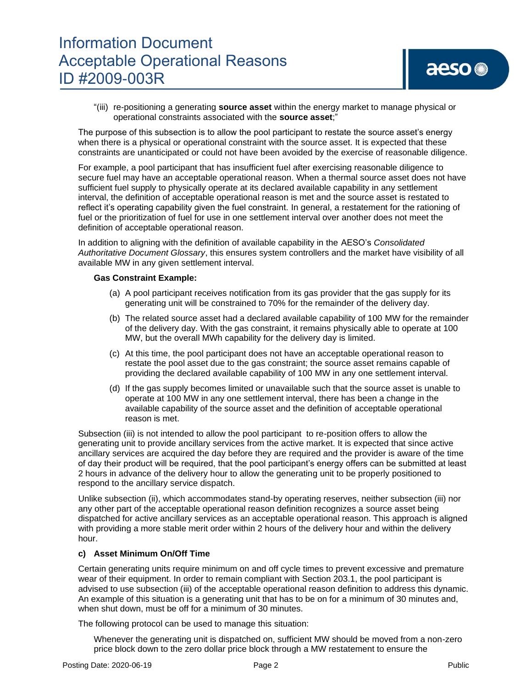"(iii) re-positioning a generating **source asset** within the energy market to manage physical or operational constraints associated with the **source asset**;"

The purpose of this subsection is to allow the pool participant to restate the source asset's energy when there is a physical or operational constraint with the source asset. It is expected that these constraints are unanticipated or could not have been avoided by the exercise of reasonable diligence.

For example, a pool participant that has insufficient fuel after exercising reasonable diligence to secure fuel may have an acceptable operational reason. When a thermal source asset does not have sufficient fuel supply to physically operate at its declared available capability in any settlement interval, the definition of acceptable operational reason is met and the source asset is restated to reflect it's operating capability given the fuel constraint. In general, a restatement for the rationing of fuel or the prioritization of fuel for use in one settlement interval over another does not meet the definition of acceptable operational reason.

In addition to aligning with the definition of available capability in the AESO's *Consolidated Authoritative Document Glossary*, this ensures system controllers and the market have visibility of all available MW in any given settlement interval.

### **Gas Constraint Example:**

- (a) A pool participant receives notification from its gas provider that the gas supply for its generating unit will be constrained to 70% for the remainder of the delivery day.
- (b) The related source asset had a declared available capability of 100 MW for the remainder of the delivery day. With the gas constraint, it remains physically able to operate at 100 MW, but the overall MWh capability for the delivery day is limited.
- (c) At this time, the pool participant does not have an acceptable operational reason to restate the pool asset due to the gas constraint; the source asset remains capable of providing the declared available capability of 100 MW in any one settlement interval.
- (d) If the gas supply becomes limited or unavailable such that the source asset is unable to operate at 100 MW in any one settlement interval, there has been a change in the available capability of the source asset and the definition of acceptable operational reason is met.

Subsection (iii) is not intended to allow the pool participant to re-position offers to allow the generating unit to provide ancillary services from the active market. It is expected that since active ancillary services are acquired the day before they are required and the provider is aware of the time of day their product will be required, that the pool participant's energy offers can be submitted at least 2 hours in advance of the delivery hour to allow the generating unit to be properly positioned to respond to the ancillary service dispatch.

Unlike subsection (ii), which accommodates stand-by operating reserves, neither subsection (iii) nor any other part of the acceptable operational reason definition recognizes a source asset being dispatched for active ancillary services as an acceptable operational reason. This approach is aligned with providing a more stable merit order within 2 hours of the delivery hour and within the delivery hour.

### **c) Asset Minimum On/Off Time**

Certain generating units require minimum on and off cycle times to prevent excessive and premature wear of their equipment. In order to remain compliant with Section 203.1, the pool participant is advised to use subsection (iii) of the acceptable operational reason definition to address this dynamic. An example of this situation is a generating unit that has to be on for a minimum of 30 minutes and, when shut down, must be off for a minimum of 30 minutes.

The following protocol can be used to manage this situation:

Whenever the generating unit is dispatched on, sufficient MW should be moved from a non-zero price block down to the zero dollar price block through a MW restatement to ensure the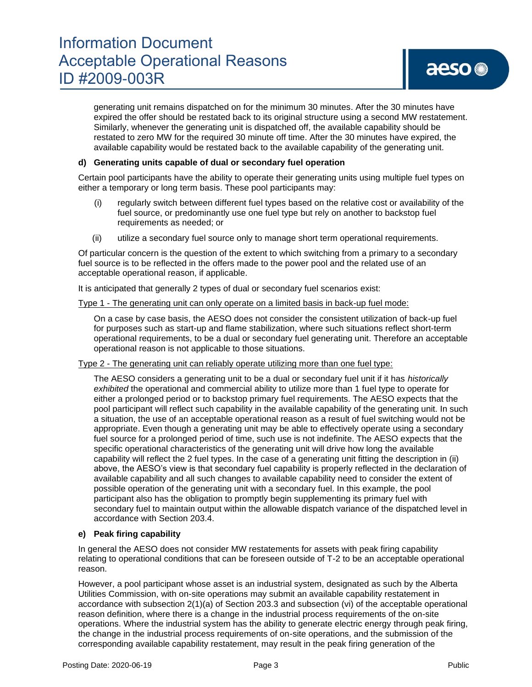# Information Document Acceptable Operational Reasons ID #2009-003R

generating unit remains dispatched on for the minimum 30 minutes. After the 30 minutes have expired the offer should be restated back to its original structure using a second MW restatement. Similarly, whenever the generating unit is dispatched off, the available capability should be restated to zero MW for the required 30 minute off time. After the 30 minutes have expired, the available capability would be restated back to the available capability of the generating unit.

## **d) Generating units capable of dual or secondary fuel operation**

Certain pool participants have the ability to operate their generating units using multiple fuel types on either a temporary or long term basis. These pool participants may:

- (i) regularly switch between different fuel types based on the relative cost or availability of the fuel source, or predominantly use one fuel type but rely on another to backstop fuel requirements as needed; or
- (ii) utilize a secondary fuel source only to manage short term operational requirements.

Of particular concern is the question of the extent to which switching from a primary to a secondary fuel source is to be reflected in the offers made to the power pool and the related use of an acceptable operational reason, if applicable.

It is anticipated that generally 2 types of dual or secondary fuel scenarios exist:

#### Type 1 - The generating unit can only operate on a limited basis in back-up fuel mode:

On a case by case basis, the AESO does not consider the consistent utilization of back-up fuel for purposes such as start-up and flame stabilization, where such situations reflect short-term operational requirements, to be a dual or secondary fuel generating unit. Therefore an acceptable operational reason is not applicable to those situations.

### Type 2 - The generating unit can reliably operate utilizing more than one fuel type:

The AESO considers a generating unit to be a dual or secondary fuel unit if it has *historically exhibited* the operational and commercial ability to utilize more than 1 fuel type to operate for either a prolonged period or to backstop primary fuel requirements. The AESO expects that the pool participant will reflect such capability in the available capability of the generating unit. In such a situation, the use of an acceptable operational reason as a result of fuel switching would not be appropriate. Even though a generating unit may be able to effectively operate using a secondary fuel source for a prolonged period of time, such use is not indefinite. The AESO expects that the specific operational characteristics of the generating unit will drive how long the available capability will reflect the 2 fuel types. In the case of a generating unit fitting the description in (ii) above, the AESO's view is that secondary fuel capability is properly reflected in the declaration of available capability and all such changes to available capability need to consider the extent of possible operation of the generating unit with a secondary fuel. In this example, the pool participant also has the obligation to promptly begin supplementing its primary fuel with secondary fuel to maintain output within the allowable dispatch variance of the dispatched level in accordance with Section 203.4.

### **e) Peak firing capability**

In general the AESO does not consider MW restatements for assets with peak firing capability relating to operational conditions that can be foreseen outside of T-2 to be an acceptable operational reason.

However, a pool participant whose asset is an industrial system, designated as such by the Alberta Utilities Commission, with on-site operations may submit an available capability restatement in accordance with subsection 2(1)(a) of Section 203.3 and subsection (vi) of the acceptable operational reason definition, where there is a change in the industrial process requirements of the on-site operations. Where the industrial system has the ability to generate electric energy through peak firing, the change in the industrial process requirements of on-site operations, and the submission of the corresponding available capability restatement, may result in the peak firing generation of the